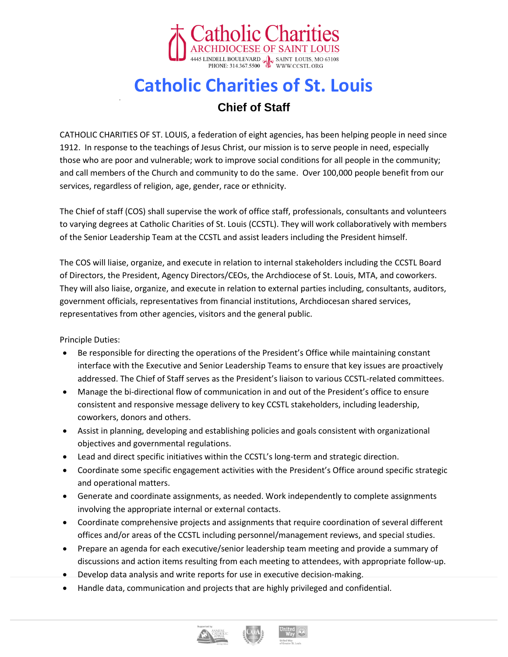

## **Catholic Charities of St. Louis**

## **Chief of Staff**

CATHOLIC CHARITIES OF ST. LOUIS, a federation of eight agencies, has been helping people in need since 1912. In response to the teachings of Jesus Christ, our mission is to serve people in need, especially those who are poor and vulnerable; work to improve social conditions for all people in the community; and call members of the Church and community to do the same. Over 100,000 people benefit from our services, regardless of religion, age, gender, race or ethnicity.

The Chief of staff (COS) shall supervise the work of office staff, professionals, consultants and volunteers to varying degrees at Catholic Charities of St. Louis (CCSTL). They will work collaboratively with members of the Senior Leadership Team at the CCSTL and assist leaders including the President himself.

The COS will liaise, organize, and execute in relation to internal stakeholders including the CCSTL Board of Directors, the President, Agency Directors/CEOs, the Archdiocese of St. Louis, MTA, and coworkers. They will also liaise, organize, and execute in relation to external parties including, consultants, auditors, government officials, representatives from financial institutions, Archdiocesan shared services, representatives from other agencies, visitors and the general public.

Principle Duties:

- Be responsible for directing the operations of the President's Office while maintaining constant interface with the Executive and Senior Leadership Teams to ensure that key issues are proactively addressed. The Chief of Staff serves as the President's liaison to various CCSTL-related committees.
- Manage the bi-directional flow of communication in and out of the President's office to ensure consistent and responsive message delivery to key CCSTL stakeholders, including leadership, coworkers, donors and others.
- Assist in planning, developing and establishing policies and goals consistent with organizational objectives and governmental regulations.
- Lead and direct specific initiatives within the CCSTL's long-term and strategic direction.
- Coordinate some specific engagement activities with the President's Office around specific strategic and operational matters.
- Generate and coordinate assignments, as needed. Work independently to complete assignments involving the appropriate internal or external contacts.
- Coordinate comprehensive projects and assignments that require coordination of several different offices and/or areas of the CCSTL including personnel/management reviews, and special studies.
- Prepare an agenda for each executive/senior leadership team meeting and provide a summary of discussions and action items resulting from each meeting to attendees, with appropriate follow-up.
- Develop data analysis and write reports for use in executive decision-making.
- Handle data, communication and projects that are highly privileged and confidential.